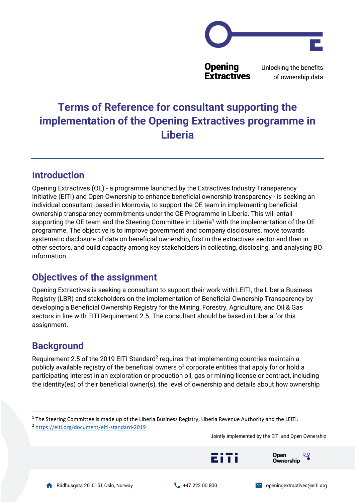

Unlocking the benefits of ownership data

# **Terms of Reference for consultant supporting the implementation of the Opening Extractives programme in Liberia**

### **Introduction**

Opening Extractives (OE) - a programme launched by the Extractives Industry Transparency Initiative (EITI) and Open Ownership to enhance beneficial ownership transparency - is seeking an individual consultant, based in Monrovia, to support the OE team in implementing beneficial ownership transparency commitments under the OE Programme in Liberia. This will entail supporting the OE team and the Steering Committee in Liberia<sup>1</sup> with the implementation of the OE programme. The objective is to improve government and company disclosures, move towards systematic disclosure of data on beneficial ownership, first in the extractives sector and then in other sectors, and build capacity among key stakeholders in collecting, disclosing, and analysing BO information.

# **Objectives of the assignment**

Opening Extractives is seeking a consultant to support their work with LEITI, the Liberia Business Registry (LBR) and stakeholders on the implementation of Beneficial Ownership Transparency by developing a Beneficial Ownership Registry for the Mining, Forestry, Agriculture, and Oil & Gas sectors in line with EITI Requirement 2.5. The consultant should be based in Liberia for this assignment.

# **Background**

Requirement 2.5 of the 2019 EITI Standard<sup>2</sup> requires that implementing countries maintain a publicly available registry of the beneficial owners of corporate entities that apply for or hold a participating interest in an exploration or production oil, gas or mining license or contract, including the identity(es) of their beneficial owner(s), the level of ownership and details about how ownership

Jointly implemented by the EITI and Open Ownership





zitti



Open

**Ownership** 

ಳ

<sup>&</sup>lt;sup>1</sup> The Steering Committee is made up of the Liberia Business Registry, Liberia Revenue Authority and the LEITI.

<sup>2</sup> <https://eiti.org/document/eiti-standard-2019>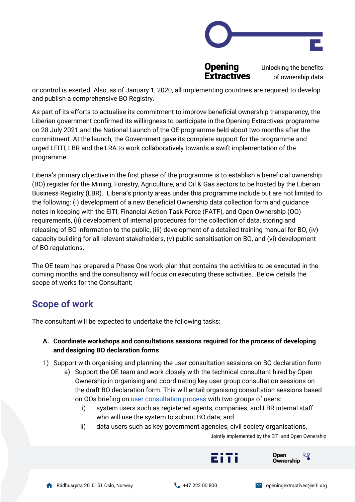

Unlocking the benefits of ownership data

or control is exerted. Also, as of January 1, 2020, all implementing countries are required to develop and publish a comprehensive BO Registry.

As part of its efforts to actualise its commitment to improve beneficial ownership transparency, the Liberian government confirmed its willingness to participate in the Opening Extractives programme on 28 July 2021 and the National Launch of the OE programme held about two months after the commitment. At the launch, the Government gave its complete support for the programme and urged LEITI, LBR and the LRA to work collaboratively towards a swift implementation of the programme.

Liberia's primary objective in the first phase of the programme is to establish a beneficial ownership (BO) register for the Mining, Forestry, Agriculture, and Oil & Gas sectors to be hosted by the Liberian Business Registry (LBR). Liberia's priority areas under this programme include but are not limited to the following: (i) development of a new Beneficial Ownership data collection form and guidance notes in keeping with the EITI, Financial Action Task Force (FATF), and Open Ownership (OO) requirements, (ii) development of internal procedures for the collection of data, storing and releasing of BO information to the public, (iii) development of a detailed training manual for BO, (iv) capacity building for all relevant stakeholders, (v) public sensitisation on BO, and (vi) development of BO regulations.

The OE team has prepared a Phase One work-plan that contains the activities to be executed in the coming months and the consultancy will focus on executing these activities. Below details the scope of works for the Consultant:

# **Scope of work**

The consultant will be expected to undertake the following tasks:

#### **A. Coordinate workshops and consultations sessions required for the process of developing and designing BO declaration forms**

- 1) Support with organising and planning the user consultation sessions on BO declaration form
	- a) Support the OE team and work closely with the technical consultant hired by Open Ownership in organising and coordinating key user group consultation sessions on the draft BO declaration form. This will entail organising consultation sessions based on OOs briefing on [user consultation process](https://www.openownership.org/uploads/open-ownership-effective-consultation-processes-for-bot.pdf) with two groups of users:
		- i) system users such as registered agents, companies, and LBR internal staff who will use the system to submit BO data; and
		- ii) data users such as key government agencies, civil society organisations,

Jointly implemented by the EITI and Open Ownership





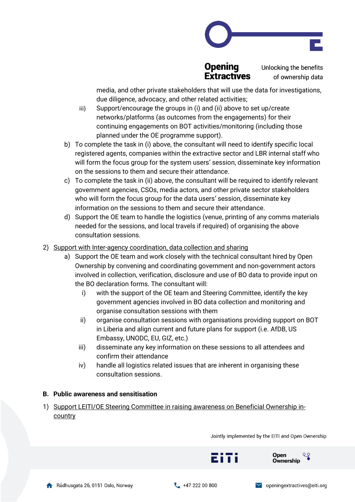



Unlocking the benefits of ownership data

media, and other private stakeholders that will use the data for investigations, due diligence, advocacy, and other related activities;

- iii) Support/encourage the groups in (i) and (ii) above to set up/create networks/platforms (as outcomes from the engagements) for their continuing engagements on BOT activities/monitoring (including those planned under the OE programme support).
- b) To complete the task in (i) above, the consultant will need to identify specific local registered agents, companies within the extractive sector and LBR internal staff who will form the focus group for the system users' session, disseminate key information on the sessions to them and secure their attendance.
- c) To complete the task in (ii) above, the consultant will be required to identify relevant government agencies, CSOs, media actors, and other private sector stakeholders who will form the focus group for the data users' session, disseminate key information on the sessions to them and secure their attendance.
- d) Support the OE team to handle the logistics (venue, printing of any comms materials needed for the sessions, and local travels if required) of organising the above consultation sessions.
- 2) Support with Inter-agency coordination, data collection and sharing
	- a) Support the OE team and work closely with the technical consultant hired by Open Ownership by convening and coordinating government and non-government actors involved in collection, verification, disclosure and use of BO data to provide input on the BO declaration forms. The consultant will:
		- i) with the support of the OE team and Steering Committee, identify the key government agencies involved in BO data collection and monitoring and organise consultation sessions with them
		- ii) organise consultation sessions with organisations providing support on BOT in Liberia and align current and future plans for support (i.e. AfDB, US Embassy, UNODC, EU, GIZ, etc.)
		- iii) disseminate any key information on these sessions to all attendees and confirm their attendance
		- iv) handle all logistics related issues that are inherent in organising these consultation sessions.

#### **B. Public awareness and sensitisation**

1) Support LEITI/OE Steering Committee in raising awareness on Beneficial Ownership in**country** 

Jointly implemented by the EITI and Open Ownership





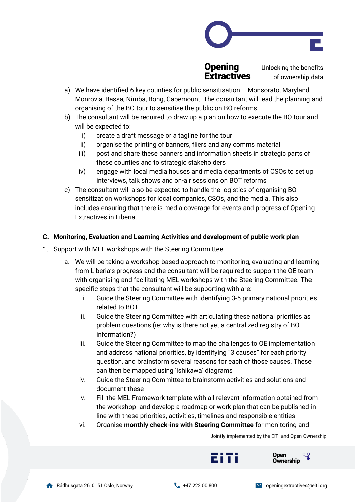

Unlocking the benefits of ownership data

- a) We have identified 6 key counties for public sensitisation Monsorato, Maryland, Monrovia, Bassa, Nimba, Bong, Capemount. The consultant will lead the planning and organising of the BO tour to sensitise the public on BO reforms
- b) The consultant will be required to draw up a plan on how to execute the BO tour and will be expected to:
	- i) create a draft message or a tagline for the tour
	- ii) organise the printing of banners, fliers and any comms material
	- iii) post and share these banners and information sheets in strategic parts of these counties and to strategic stakeholders
	- iv) engage with local media houses and media departments of CSOs to set up interviews, talk shows and on-air sessions on BOT reforms
- c) The consultant will also be expected to handle the logistics of organising BO sensitization workshops for local companies, CSOs, and the media. This also includes ensuring that there is media coverage for events and progress of Opening Extractives in Liberia.

#### **C. Monitoring, Evaluation and Learning Activities and development of public work plan**

- 1. Support with MEL workshops with the Steering Committee
	- a. We will be taking a workshop-based approach to monitoring, evaluating and learning from Liberia's progress and the consultant will be required to support the OE team with organising and facilitating MEL workshops with the Steering Committee. The specific steps that the consultant will be supporting with are:
		- i. Guide the Steering Committee with identifying 3-5 primary national priorities related to BOT
		- ii. Guide the Steering Committee with articulating these national priorities as problem questions (ie: why is there not yet a centralized registry of BO information?)
		- iii. Guide the Steering Committee to map the challenges to OE implementation and address national priorities, by identifying "3 causes" for each priority question, and brainstorm several reasons for each of those causes. These can then be mapped using 'Ishikawa' diagrams
		- iv. Guide the Steering Committee to brainstorm activities and solutions and document these
		- v. Fill the MEL Framework template with all relevant information obtained from the workshop and develop a roadmap or work plan that can be published in line with these priorities, activities, timelines and responsible entities
		- vi. Organise **monthly check-ins with Steering Committee** for monitoring and

Jointly implemented by the EITI and Open Ownership



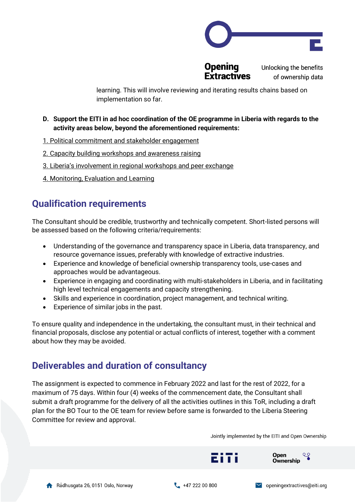

**Opening** 

Unlocking the benefits of ownership data

learning. This will involve reviewing and iterating results chains based on implementation so far.

- **D. Support the EITI in ad hoc coordination of the OE programme in Liberia with regards to the activity areas below, beyond the aforementioned requirements:**
- 1. Political commitment and stakeholder engagement
- 2. Capacity building workshops and awareness raising
- 3. Liberia's involvement in regional workshops and peer exchange
- 4. Monitoring, Evaluation and Learning

# **Qualification requirements**

The Consultant should be credible, trustworthy and technically competent. Short-listed persons will be assessed based on the following criteria/requirements:

- Understanding of the governance and transparency space in Liberia, data transparency, and resource governance issues, preferably with knowledge of extractive industries.
- Experience and knowledge of beneficial ownership transparency tools, use-cases and approaches would be advantageous.
- Experience in engaging and coordinating with multi-stakeholders in Liberia, and in facilitating high level technical engagements and capacity strengthening.
- Skills and experience in coordination, project management, and technical writing.
- Experience of similar jobs in the past.

To ensure quality and independence in the undertaking, the consultant must, in their technical and financial proposals, disclose any potential or actual conflicts of interest, together with a comment about how they may be avoided.

# **Deliverables and duration of consultancy**

The assignment is expected to commence in February 2022 and last for the rest of 2022, for a maximum of 75 days. Within four (4) weeks of the commencement date, the Consultant shall submit a draft programme for the delivery of all the activities outlines in this ToR, including a draft plan for the BO Tour to the OE team for review before same is forwarded to the Liberia Steering Committee for review and approval.

Jointly implemented by the EITI and Open Ownership

Open

**Ownership** 





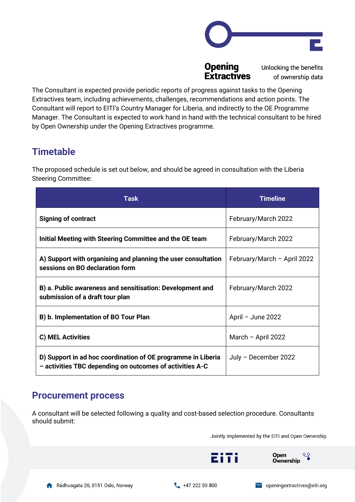

Unlocking the benefits of ownership data

The Consultant is expected provide periodic reports of progress against tasks to the Opening Extractives team, including achievements, challenges, recommendations and action points. The Consultant will report to EITI's Country Manager for Liberia, and indirectly to the OE Programme Manager. The Consultant is expected to work hand in hand with the technical consultant to be hired by Open Ownership under the Opening Extractives programme.

# **Timetable**

The proposed schedule is set out below, and should be agreed in consultation with the Liberia Steering Committee:

| <b>Task</b>                                                                                                              | <b>Timeline</b>             |
|--------------------------------------------------------------------------------------------------------------------------|-----------------------------|
| <b>Signing of contract</b>                                                                                               | February/March 2022         |
| Initial Meeting with Steering Committee and the OE team                                                                  | February/March 2022         |
| A) Support with organising and planning the user consultation<br>sessions on BO declaration form                         | February/March - April 2022 |
| B) a. Public awareness and sensitisation: Development and<br>submission of a draft tour plan                             | February/March 2022         |
| B) b. Implementation of BO Tour Plan                                                                                     | April - June 2022           |
| <b>C) MEL Activities</b>                                                                                                 | March $-$ April 2022        |
| D) Support in ad hoc coordination of OE programme in Liberia<br>- activities TBC depending on outcomes of activities A-C | July - December 2022        |

### **Procurement process**

A consultant will be selected following a quality and cost-based selection procedure. Consultants should submit:

Jointly implemented by the EITI and Open Ownership

Open

**Ownership** 

zitti

ಳ